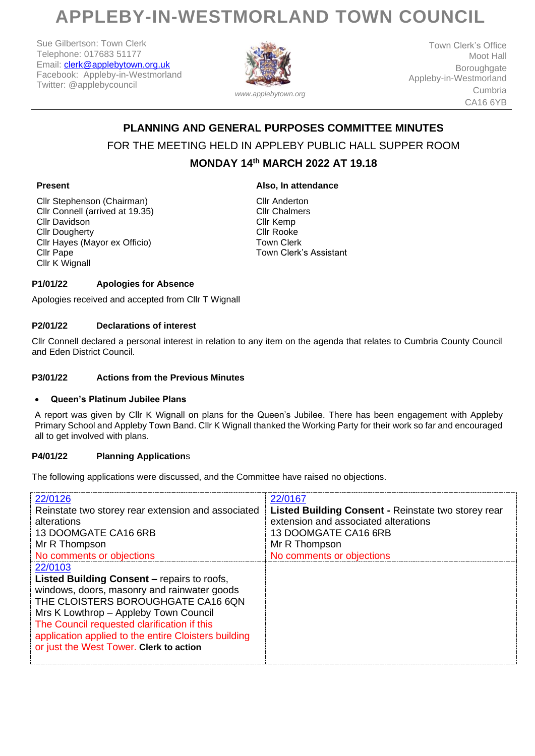# **APPLEBY-IN-WESTMORLAND TOWN COUNCIL**

Sue Gilbertson: Town Clerk Telephone: 017683 51177 Email: [clerk@applebytown.org.uk](mailto:clerk@applebytown.org.uk) Facebook: Appleby-in-Westmorland Twitter: @applebycouncil



Town Clerk's Office Moot Hall Boroughgate Appleby-in-Westmorland Cumbria CA16 6YB

# **PLANNING AND GENERAL PURPOSES COMMITTEE MINUTES** FOR THE MEETING HELD IN APPLEBY PUBLIC HALL SUPPER ROOM **MONDAY 14th MARCH 2022 AT 19.18**

# **Present**

Cllr Stephenson (Chairman) Cllr Connell (arrived at 19.35) Cllr Davidson Cllr Dougherty Cllr Hayes (Mayor ex Officio) Cllr Pape Cllr K Wignall

**Also, In attendance**

Cllr Anderton Cllr Chalmers Cllr Kemp Cllr Rooke Town Clerk Town Clerk's Assistant

# **P1/01/22 Apologies for Absence**

Apologies received and accepted from Cllr T Wignall

## **P2/01/22 Declarations of interest**

Cllr Connell declared a personal interest in relation to any item on the agenda that relates to Cumbria County Council and Eden District Council.

#### **P3/01/22 Actions from the Previous Minutes**

## • **Queen's Platinum Jubilee Plans**

A report was given by Cllr K Wignall on plans for the Queen's Jubilee. There has been engagement with Appleby Primary School and Appleby Town Band. Cllr K Wignall thanked the Working Party for their work so far and encouraged all to get involved with plans.

## **P4/01/22 Planning Application**s

The following applications were discussed, and the Committee have raised no objections.

| 22/0126<br>Reinstate two storey rear extension and associated<br>alterations<br>13 DOOMGATE CA16 6RB<br>Mr R Thompson<br>No comments or objections<br>22/0103<br><b>Listed Building Consent – repairs to roofs,</b><br>windows, doors, masonry and rainwater goods<br>THE CLOISTERS BOROUGHGATE CA16 6QN<br>Mrs K Lowthrop - Appleby Town Council<br>The Council requested clarification if this<br>application applied to the entire Cloisters building<br>or just the West Tower. Clerk to action | 22/0167<br>Listed Building Consent - Reinstate two storey rear<br>extension and associated alterations<br>13 DOOMGATE CA16 6RB<br>Mr R Thompson<br>No comments or objections |
|-----------------------------------------------------------------------------------------------------------------------------------------------------------------------------------------------------------------------------------------------------------------------------------------------------------------------------------------------------------------------------------------------------------------------------------------------------------------------------------------------------|------------------------------------------------------------------------------------------------------------------------------------------------------------------------------|
|-----------------------------------------------------------------------------------------------------------------------------------------------------------------------------------------------------------------------------------------------------------------------------------------------------------------------------------------------------------------------------------------------------------------------------------------------------------------------------------------------------|------------------------------------------------------------------------------------------------------------------------------------------------------------------------------|